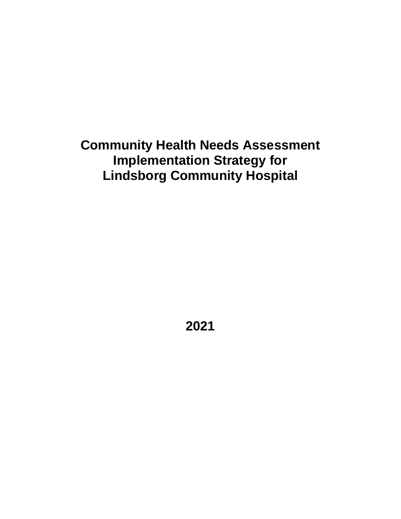# **Community Health Needs Assessment Implementation Strategy for Lindsborg Community Hospital**

**2021**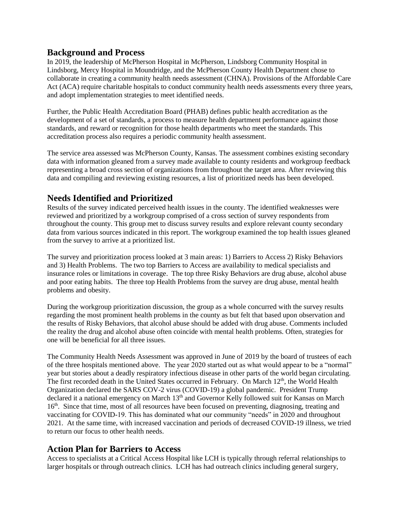#### **Background and Process**

In 2019, the leadership of McPherson Hospital in McPherson, Lindsborg Community Hospital in Lindsborg, Mercy Hospital in Moundridge, and the McPherson County Health Department chose to collaborate in creating a community health needs assessment (CHNA). Provisions of the Affordable Care Act (ACA) require charitable hospitals to conduct community health needs assessments every three years, and adopt implementation strategies to meet identified needs.

Further, the Public Health Accreditation Board (PHAB) defines public health accreditation as the development of a set of standards, a process to measure health department performance against those standards, and reward or recognition for those health departments who meet the standards. This accreditation process also requires a periodic community health assessment.

The service area assessed was McPherson County, Kansas. The assessment combines existing secondary data with information gleaned from a survey made available to county residents and workgroup feedback representing a broad cross section of organizations from throughout the target area. After reviewing this data and compiling and reviewing existing resources, a list of prioritized needs has been developed.

### **Needs Identified and Prioritized**

Results of the survey indicated perceived health issues in the county. The identified weaknesses were reviewed and prioritized by a workgroup comprised of a cross section of survey respondents from throughout the county. This group met to discuss survey results and explore relevant county secondary data from various sources indicated in this report. The workgroup examined the top health issues gleaned from the survey to arrive at a prioritized list.

The survey and prioritization process looked at 3 main areas: 1) Barriers to Access 2) Risky Behaviors and 3) Health Problems. The two top Barriers to Access are availability to medical specialists and insurance roles or limitations in coverage. The top three Risky Behaviors are drug abuse, alcohol abuse and poor eating habits. The three top Health Problems from the survey are drug abuse, mental health problems and obesity.

During the workgroup prioritization discussion, the group as a whole concurred with the survey results regarding the most prominent health problems in the county as but felt that based upon observation and the results of Risky Behaviors, that alcohol abuse should be added with drug abuse. Comments included the reality the drug and alcohol abuse often coincide with mental health problems. Often, strategies for one will be beneficial for all three issues.

The Community Health Needs Assessment was approved in June of 2019 by the board of trustees of each of the three hospitals mentioned above. The year 2020 started out as what would appear to be a "normal" year but stories about a deadly respiratory infectious disease in other parts of the world began circulating. The first recorded death in the United States occurred in February. On March 12<sup>th</sup>, the World Health Organization declared the SARS COV-2 virus (COVID-19) a global pandemic. President Trump declared it a national emergency on March 13<sup>th</sup> and Governor Kelly followed suit for Kansas on March 16<sup>th</sup>. Since that time, most of all resources have been focused on preventing, diagnosing, treating and vaccinating for COVID-19. This has dominated what our community "needs" in 2020 and throughout 2021. At the same time, with increased vaccination and periods of decreased COVID-19 illness, we tried to return our focus to other health needs.

#### **Action Plan for Barriers to Access**

Access to specialists at a Critical Access Hospital like LCH is typically through referral relationships to larger hospitals or through outreach clinics. LCH has had outreach clinics including general surgery,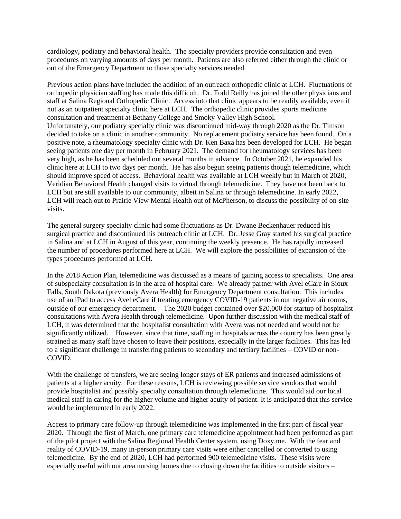cardiology, podiatry and behavioral health. The specialty providers provide consultation and even procedures on varying amounts of days per month. Patients are also referred either through the clinic or out of the Emergency Department to those specialty services needed.

Previous action plans have included the addition of an outreach orthopedic clinic at LCH. Fluctuations of orthopedic physician staffing has made this difficult. Dr. Todd Reilly has joined the other physicians and staff at Salina Regional Orthopedic Clinic. Access into that clinic appears to be readily available, even if not as an outpatient specialty clinic here at LCH. The orthopedic clinic provides sports medicine consultation and treatment at Bethany College and Smoky Valley High School. Unfortunately, our podiatry specialty clinic was discontinued mid-way through 2020 as the Dr. Timson decided to take on a clinic in another community. No replacement podiatry service has been found. On a positive note, a rheumatology specialty clinic with Dr. Ken Baxa has been developed for LCH. He began seeing patients one day per month in February 2021. The demand for rheumatology services has been very high, as he has been scheduled out several months in advance. In October 2021, he expanded his clinic here at LCH to two days per month. He has also begun seeing patients though telemedicine, which should improve speed of access. Behavioral health was available at LCH weekly but in March of 2020, Veridian Behavioral Health changed visits to virtual through telemedicine. They have not been back to LCH but are still available to our community, albeit in Salina or through telemedicine. In early 2022, LCH will reach out to Prairie View Mental Health out of McPherson, to discuss the possibility of on-site visits.

The general surgery specialty clinic had some fluctuations as Dr. Dwane Beckenhauer reduced his surgical practice and discontinued his outreach clinic at LCH. Dr. Jesse Gray started his surgical practice in Salina and at LCH in August of this year, continuing the weekly presence. He has rapidly increased the number of procedures performed here at LCH. We will explore the possibilities of expansion of the types procedures performed at LCH.

In the 2018 Action Plan, telemedicine was discussed as a means of gaining access to specialists. One area of subspecialty consultation is in the area of hospital care. We already partner with Avel eCare in Sioux Falls, South Dakota (previously Avera Health) for Emergency Department consultation. This includes use of an iPad to access Avel eCare if treating emergency COVID-19 patients in our negative air rooms, outside of our emergency department. The 2020 budget contained over \$20,000 for startup of hospitalist consultations with Avera Health through telemedicine. Upon further discussion with the medical staff of LCH, it was determined that the hospitalist consultation with Avera was not needed and would not be significantly utilized. However, since that time, staffing in hospitals across the country has been greatly strained as many staff have chosen to leave their positions, especially in the larger facilities. This has led to a significant challenge in transferring patients to secondary and tertiary facilities – COVID or non-COVID.

With the challenge of transfers, we are seeing longer stays of ER patients and increased admissions of patients at a higher acuity. For these reasons, LCH is reviewing possible service vendors that would provide hospitalist and possibly specialty consultation through telemedicine. This would aid our local medical staff in caring for the higher volume and higher acuity of patient. It is anticipated that this service would be implemented in early 2022.

Access to primary care follow-up through telemedicine was implemented in the first part of fiscal year 2020. Through the first of March, one primary care telemedicine appointment had been performed as part of the pilot project with the Salina Regional Health Center system, using Doxy.me. With the fear and reality of COVID-19, many in-person primary care visits were either cancelled or converted to using telemedicine. By the end of 2020, LCH had performed 900 telemedicine visits. These visits were especially useful with our area nursing homes due to closing down the facilities to outside visitors –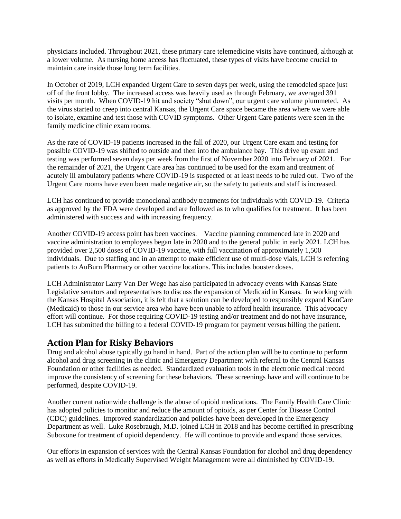physicians included. Throughout 2021, these primary care telemedicine visits have continued, although at a lower volume. As nursing home access has fluctuated, these types of visits have become crucial to maintain care inside those long term facilities.

In October of 2019, LCH expanded Urgent Care to seven days per week, using the remodeled space just off of the front lobby. The increased access was heavily used as through February, we averaged 391 visits per month. When COVID-19 hit and society "shut down", our urgent care volume plummeted. As the virus started to creep into central Kansas, the Urgent Care space became the area where we were able to isolate, examine and test those with COVID symptoms. Other Urgent Care patients were seen in the family medicine clinic exam rooms.

As the rate of COVID-19 patients increased in the fall of 2020, our Urgent Care exam and testing for possible COVID-19 was shifted to outside and then into the ambulance bay. This drive up exam and testing was performed seven days per week from the first of November 2020 into February of 2021. For the remainder of 2021, the Urgent Care area has continued to be used for the exam and treatment of acutely ill ambulatory patients where COVID-19 is suspected or at least needs to be ruled out. Two of the Urgent Care rooms have even been made negative air, so the safety to patients and staff is increased.

LCH has continued to provide monoclonal antibody treatments for individuals with COVID-19. Criteria as approved by the FDA were developed and are followed as to who qualifies for treatment. It has been administered with success and with increasing frequency.

Another COVID-19 access point has been vaccines. Vaccine planning commenced late in 2020 and vaccine administration to employees began late in 2020 and to the general public in early 2021. LCH has provided over 2,500 doses of COVID-19 vaccine, with full vaccination of approximately 1,500 individuals. Due to staffing and in an attempt to make efficient use of multi-dose vials, LCH is referring patients to AuBurn Pharmacy or other vaccine locations. This includes booster doses.

LCH Administrator Larry Van Der Wege has also participated in advocacy events with Kansas State Legislative senators and representatives to discuss the expansion of Medicaid in Kansas. In working with the Kansas Hospital Association, it is felt that a solution can be developed to responsibly expand KanCare (Medicaid) to those in our service area who have been unable to afford health insurance. This advocacy effort will continue. For those requiring COVID-19 testing and/or treatment and do not have insurance, LCH has submitted the billing to a federal COVID-19 program for payment versus billing the patient.

#### **Action Plan for Risky Behaviors**

Drug and alcohol abuse typically go hand in hand. Part of the action plan will be to continue to perform alcohol and drug screening in the clinic and Emergency Department with referral to the Central Kansas Foundation or other facilities as needed. Standardized evaluation tools in the electronic medical record improve the consistency of screening for these behaviors. These screenings have and will continue to be performed, despite COVID-19.

Another current nationwide challenge is the abuse of opioid medications. The Family Health Care Clinic has adopted policies to monitor and reduce the amount of opioids, as per Center for Disease Control (CDC) guidelines. Improved standardization and policies have been developed in the Emergency Department as well. Luke Rosebraugh, M.D. joined LCH in 2018 and has become certified in prescribing Suboxone for treatment of opioid dependency. He will continue to provide and expand those services.

Our efforts in expansion of services with the Central Kansas Foundation for alcohol and drug dependency as well as efforts in Medically Supervised Weight Management were all diminished by COVID-19.